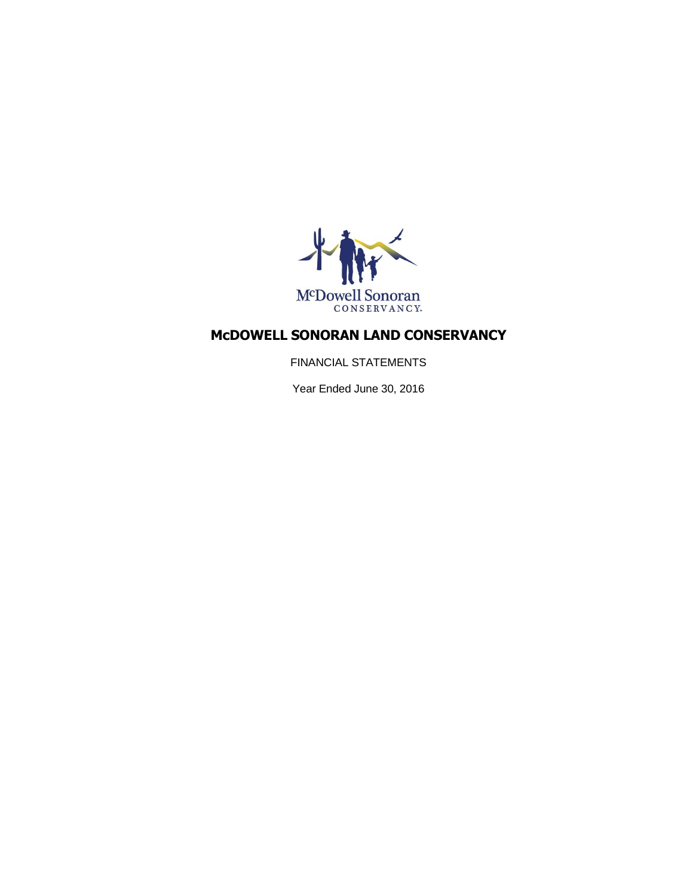

FINANCIAL STATEMENTS

Year Ended June 30, 2016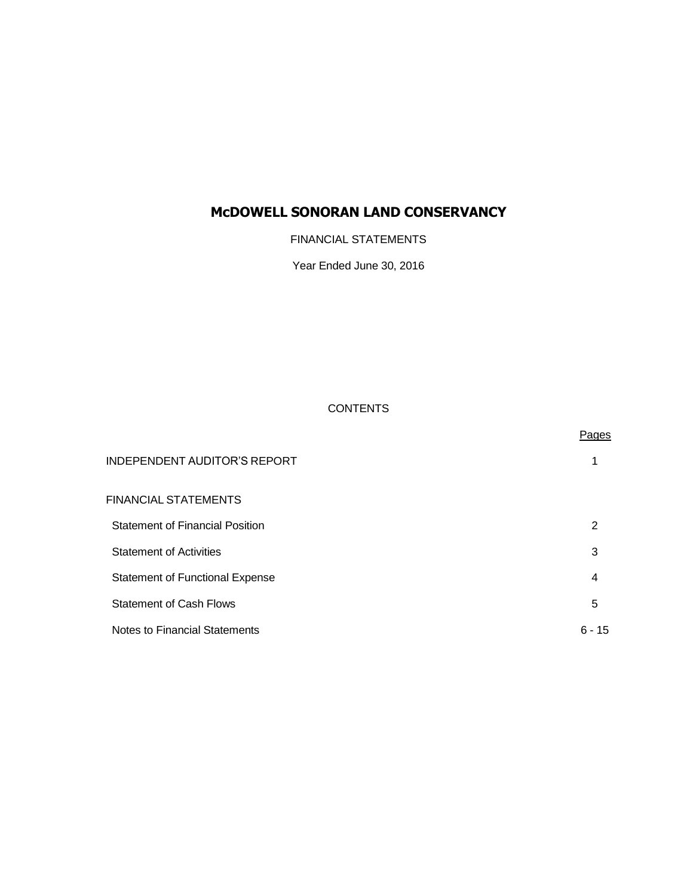FINANCIAL STATEMENTS

Year Ended June 30, 2016

### **CONTENTS**

|                                        | Pages    |
|----------------------------------------|----------|
| <b>INDEPENDENT AUDITOR'S REPORT</b>    |          |
| FINANCIAL STATEMENTS                   |          |
| <b>Statement of Financial Position</b> | 2        |
| <b>Statement of Activities</b>         | 3        |
| <b>Statement of Functional Expense</b> | 4        |
| <b>Statement of Cash Flows</b>         | 5        |
| Notes to Financial Statements          | $6 - 15$ |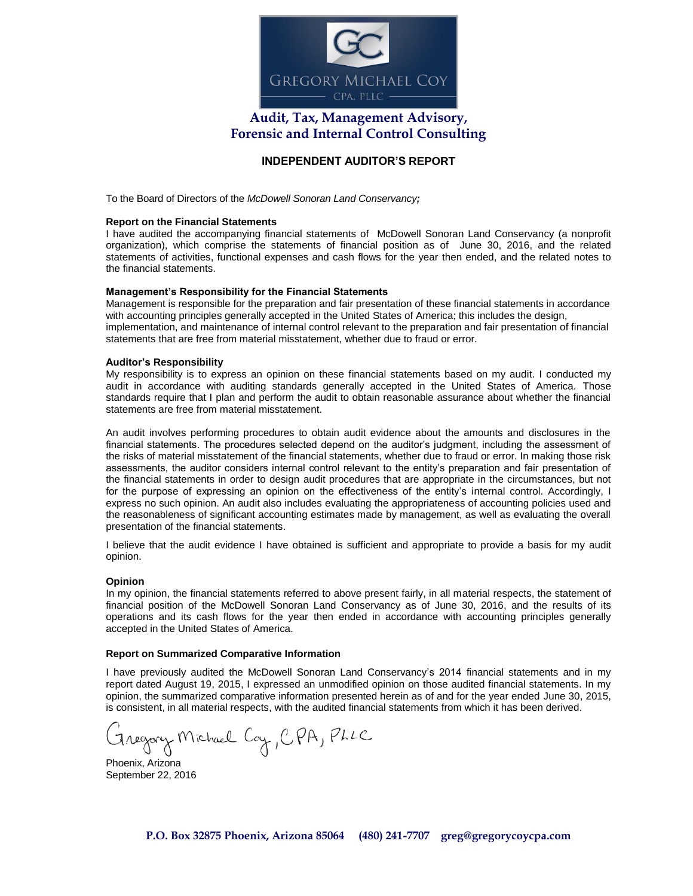

# **Audit, Tax, Management Advisory, Forensic and Internal Control Consulting**

### **INDEPENDENT AUDITOR'S REPORT**

To the Board of Directors of the *McDowell Sonoran Land Conservancy;*

#### **Report on the Financial Statements**

I have audited the accompanying financial statements of McDowell Sonoran Land Conservancy (a nonprofit organization), which comprise the statements of financial position as of June 30, 2016, and the related statements of activities, functional expenses and cash flows for the year then ended, and the related notes to the financial statements.

#### **Management's Responsibility for the Financial Statements**

Management is responsible for the preparation and fair presentation of these financial statements in accordance with accounting principles generally accepted in the United States of America; this includes the design, implementation, and maintenance of internal control relevant to the preparation and fair presentation of financial statements that are free from material misstatement, whether due to fraud or error.

#### **Auditor's Responsibility**

My responsibility is to express an opinion on these financial statements based on my audit. I conducted my audit in accordance with auditing standards generally accepted in the United States of America. Those standards require that I plan and perform the audit to obtain reasonable assurance about whether the financial statements are free from material misstatement.

An audit involves performing procedures to obtain audit evidence about the amounts and disclosures in the financial statements. The procedures selected depend on the auditor's judgment, including the assessment of the risks of material misstatement of the financial statements, whether due to fraud or error. In making those risk assessments, the auditor considers internal control relevant to the entity's preparation and fair presentation of the financial statements in order to design audit procedures that are appropriate in the circumstances, but not for the purpose of expressing an opinion on the effectiveness of the entity's internal control. Accordingly, I express no such opinion. An audit also includes evaluating the appropriateness of accounting policies used and the reasonableness of significant accounting estimates made by management, as well as evaluating the overall presentation of the financial statements.

I believe that the audit evidence I have obtained is sufficient and appropriate to provide a basis for my audit opinion.

#### **Opinion**

In my opinion, the financial statements referred to above present fairly, in all material respects, the statement of financial position of the McDowell Sonoran Land Conservancy as of June 30, 2016, and the results of its operations and its cash flows for the year then ended in accordance with accounting principles generally accepted in the United States of America.

#### **Report on Summarized Comparative Information**

I have previously audited the McDowell Sonoran Land Conservancy's 2014 financial statements and in my report dated August 19, 2015, I expressed an unmodified opinion on those audited financial statements. In my opinion, the summarized comparative information presented herein as of and for the year ended June 30, 2015, is consistent, in all material respects, with the audited financial statements from which it has been derived.

Fregory Michael Coy, CPA, PLLC

Phoenix, Arizona September 22, 2016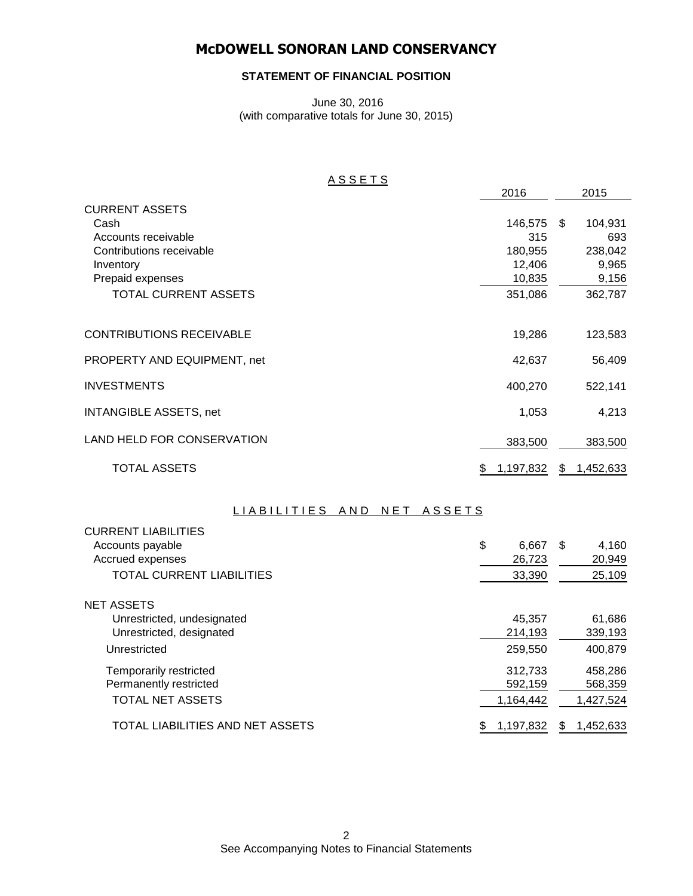### **STATEMENT OF FINANCIAL POSITION**

June 30, 2016 (with comparative totals for June 30, 2015)

### A S S E T S

|                                 | 2016            |    | 2015      |
|---------------------------------|-----------------|----|-----------|
| <b>CURRENT ASSETS</b>           |                 |    |           |
| Cash                            | 146,575         | -S | 104,931   |
| Accounts receivable             | 315             |    | 693       |
| Contributions receivable        | 180,955         |    | 238,042   |
| Inventory                       | 12,406          |    | 9,965     |
| Prepaid expenses                | 10,835          |    | 9,156     |
| <b>TOTAL CURRENT ASSETS</b>     | 351,086         |    | 362,787   |
|                                 |                 |    |           |
| <b>CONTRIBUTIONS RECEIVABLE</b> | 19,286          |    | 123,583   |
| PROPERTY AND EQUIPMENT, net     | 42,637          |    | 56,409    |
| <b>INVESTMENTS</b>              | 400,270         |    | 522,141   |
| <b>INTANGIBLE ASSETS, net</b>   | 1,053           |    | 4,213     |
| LAND HELD FOR CONSERVATION      | 383,500         |    | 383,500   |
| <b>TOTAL ASSETS</b>             | 1,197,832<br>\$ | \$ | 1,452,633 |

### LIABILITIES AND NET ASSETS

| <b>CURRENT LIABILITIES</b>       |                 |    |           |
|----------------------------------|-----------------|----|-----------|
| Accounts payable                 | \$<br>6,667     | -S | 4,160     |
| Accrued expenses                 | 26,723          |    | 20,949    |
| <b>TOTAL CURRENT LIABILITIES</b> | 33,390          |    | 25,109    |
| NET ASSETS                       |                 |    |           |
| Unrestricted, undesignated       | 45,357          |    | 61,686    |
| Unrestricted, designated         | 214,193         |    | 339,193   |
| Unrestricted                     | 259,550         |    | 400,879   |
| Temporarily restricted           | 312,733         |    | 458,286   |
| Permanently restricted           | 592,159         |    | 568,359   |
| <b>TOTAL NET ASSETS</b>          | 1,164,442       |    | 1,427,524 |
| TOTAL LIABILITIES AND NET ASSETS | \$<br>1,197,832 | S. | 1,452,633 |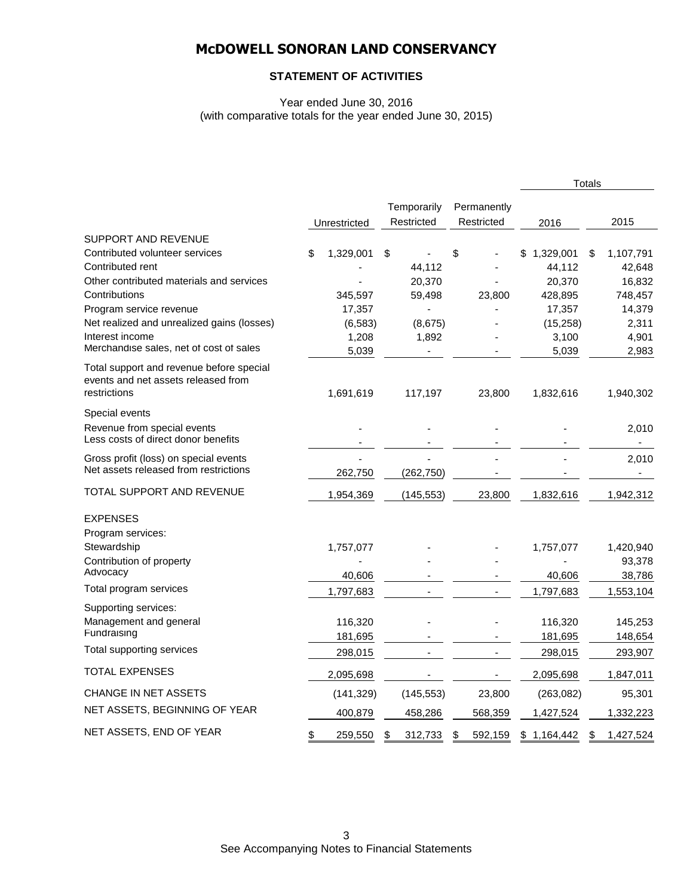### **STATEMENT OF ACTIVITIES**

Year ended June 30, 2016 (with comparative totals for the year ended June 30, 2015)

|                                                                                                                                                                                                                                                                                      |                                                           |                                                      |                           |                                                                                | <b>Totals</b> |                                                                      |
|--------------------------------------------------------------------------------------------------------------------------------------------------------------------------------------------------------------------------------------------------------------------------------------|-----------------------------------------------------------|------------------------------------------------------|---------------------------|--------------------------------------------------------------------------------|---------------|----------------------------------------------------------------------|
|                                                                                                                                                                                                                                                                                      | Unrestricted                                              | Temporarily<br>Restricted                            | Permanently<br>Restricted | 2016                                                                           |               | 2015                                                                 |
| <b>SUPPORT AND REVENUE</b><br>Contributed volunteer services<br>Contributed rent<br>Other contributed materials and services<br>Contributions<br>Program service revenue<br>Net realized and unrealized gains (losses)<br>Interest income<br>Merchandise sales, net of cost of sales | \$<br>1,329,001<br>345,597<br>17,357<br>(6, 583)<br>1,208 | \$<br>44,112<br>20,370<br>59,498<br>(8,675)<br>1,892 | \$<br>23,800              | \$<br>1,329,001<br>44,112<br>20,370<br>428,895<br>17,357<br>(15, 258)<br>3,100 | \$            | 1,107,791<br>42,648<br>16,832<br>748,457<br>14,379<br>2,311<br>4,901 |
| Total support and revenue before special<br>events and net assets released from<br>restrictions                                                                                                                                                                                      | 5,039<br>1,691,619                                        | 117,197                                              | 23,800                    | 5,039<br>1,832,616                                                             |               | 2,983<br>1,940,302                                                   |
| Special events<br>Revenue from special events<br>Less costs of direct donor benefits                                                                                                                                                                                                 |                                                           |                                                      |                           |                                                                                |               | 2,010<br>$\blacksquare$                                              |
| Gross profit (loss) on special events<br>Net assets released from restrictions                                                                                                                                                                                                       | 262,750                                                   | (262, 750)                                           |                           |                                                                                |               | 2,010                                                                |
| TOTAL SUPPORT AND REVENUE                                                                                                                                                                                                                                                            | 1,954,369                                                 | (145, 553)                                           | 23,800                    | 1,832,616                                                                      |               | 1,942,312                                                            |
| <b>EXPENSES</b><br>Program services:<br>Stewardship<br>Contribution of property<br>Advocacy                                                                                                                                                                                          | 1,757,077<br>40,606                                       |                                                      |                           | 1,757,077<br>40,606                                                            |               | 1,420,940<br>93,378<br>38,786                                        |
| Total program services                                                                                                                                                                                                                                                               | 1,797,683                                                 |                                                      |                           | 1,797,683                                                                      |               | 1,553,104                                                            |
| Supporting services:<br>Management and general<br>Fundraising                                                                                                                                                                                                                        | 116,320<br>181,695                                        |                                                      |                           | 116,320<br>181,695                                                             |               | 145,253<br>148,654                                                   |
| Total supporting services                                                                                                                                                                                                                                                            | 298,015                                                   |                                                      |                           | 298,015                                                                        |               | 293,907                                                              |
| <b>TOTAL EXPENSES</b>                                                                                                                                                                                                                                                                | 2,095,698                                                 |                                                      |                           | 2,095,698                                                                      |               | 1,847,011                                                            |
| CHANGE IN NET ASSETS                                                                                                                                                                                                                                                                 | (141, 329)                                                | (145, 553)                                           | 23,800                    | (263, 082)                                                                     |               | 95,301                                                               |
| NET ASSETS, BEGINNING OF YEAR                                                                                                                                                                                                                                                        | 400,879                                                   | 458,286                                              | 568,359                   | 1,427,524                                                                      |               | 1,332,223                                                            |
| NET ASSETS, END OF YEAR                                                                                                                                                                                                                                                              | \$<br>259,550                                             | \$<br>312,733                                        | \$<br>592,159             | \$<br>1,164,442                                                                | \$            | 1,427,524                                                            |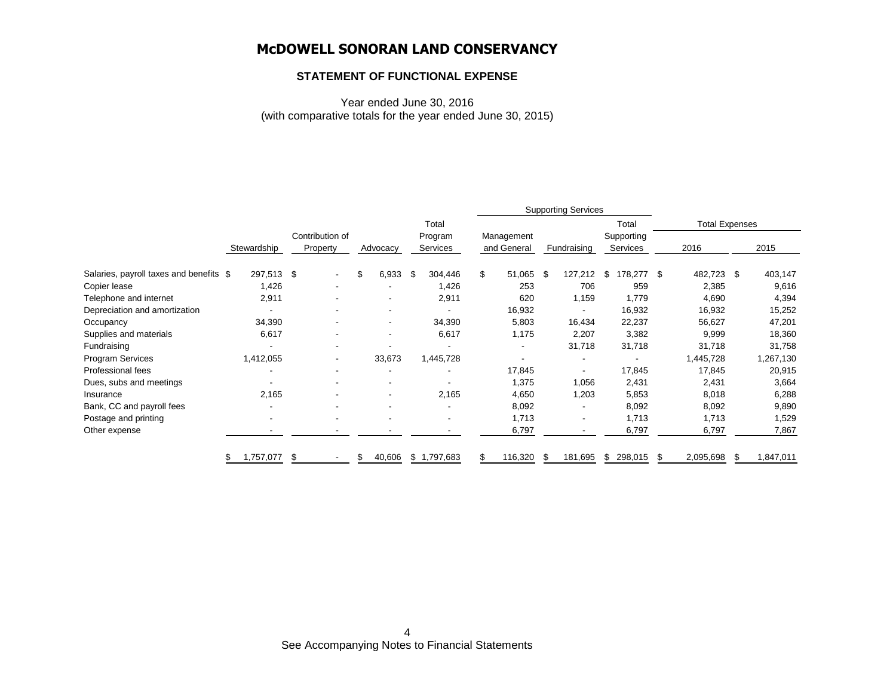### **STATEMENT OF FUNCTIONAL EXPENSE**

Year ended June 30, 2016 (with comparative totals for the year ended June 30, 2015)

|                                         |             |                             |              |                     |                           | <b>Supporting Services</b> |                        |                       |   |           |
|-----------------------------------------|-------------|-----------------------------|--------------|---------------------|---------------------------|----------------------------|------------------------|-----------------------|---|-----------|
|                                         |             |                             |              | Total               |                           |                            | Total                  | <b>Total Expenses</b> |   |           |
|                                         | Stewardship | Contribution of<br>Property | Advocacy     | Program<br>Services | Management<br>and General | Fundraising                | Supporting<br>Services | 2016                  |   | 2015      |
| Salaries, payroll taxes and benefits \$ | 297,513 \$  |                             | \$<br>6,933  | \$<br>304,446       | \$<br>51,065              | \$<br>127,212              | \$<br>178,277 \$       | 482,723 \$            |   | 403,147   |
| Copier lease                            | 1,426       |                             |              | 1,426               | 253                       | 706                        | 959                    | 2,385                 |   | 9,616     |
| Telephone and internet                  | 2,911       |                             |              | 2,911               | 620                       | 1,159                      | 1,779                  | 4,690                 |   | 4,394     |
| Depreciation and amortization           |             |                             |              |                     | 16,932                    |                            | 16,932                 | 16,932                |   | 15,252    |
| Occupancy                               | 34,390      |                             |              | 34,390              | 5,803                     | 16,434                     | 22,237                 | 56,627                |   | 47,201    |
| Supplies and materials                  | 6,617       |                             |              | 6,617               | 1,175                     | 2,207                      | 3,382                  | 9,999                 |   | 18,360    |
| Fundraising                             |             |                             |              |                     |                           | 31,718                     | 31,718                 | 31,718                |   | 31,758    |
| Program Services                        | 1,412,055   | ۰                           | 33,673       | 1,445,728           |                           | ٠                          |                        | 1,445,728             |   | 1,267,130 |
| Professional fees                       |             |                             |              |                     | 17,845                    |                            | 17,845                 | 17,845                |   | 20,915    |
| Dues, subs and meetings                 |             |                             |              |                     | 1,375                     | 1,056                      | 2,431                  | 2,431                 |   | 3,664     |
| Insurance                               | 2,165       |                             |              | 2,165               | 4,650                     | 1,203                      | 5,853                  | 8,018                 |   | 6,288     |
| Bank, CC and payroll fees               |             |                             |              |                     | 8,092                     |                            | 8,092                  | 8,092                 |   | 9,890     |
| Postage and printing                    | $\sim$      |                             |              | ۰                   | 1,713                     |                            | 1,713                  | 1,713                 |   | 1,529     |
| Other expense                           |             | ٠                           |              |                     | 6,797                     | $\overline{\phantom{a}}$   | 6,797                  | 6,797                 |   | 7,867     |
|                                         | 1,757,077   | \$                          | \$<br>40,606 | \$1,797,683         | \$<br>116,320             | \$<br>181,695              | \$<br>298,015          | \$<br>2,095,698       | S | 1,847,011 |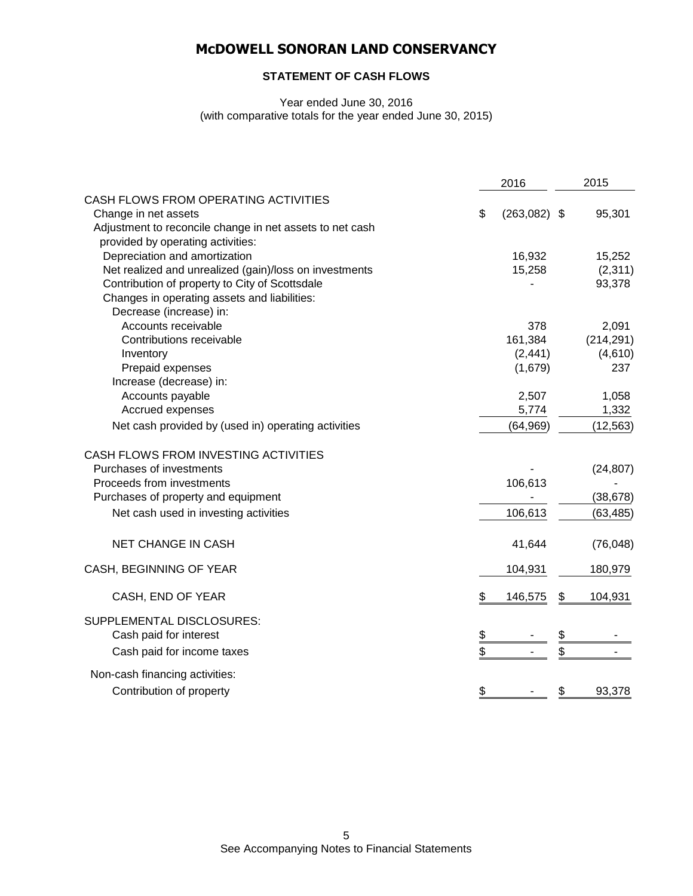### **STATEMENT OF CASH FLOWS**

Year ended June 30, 2016 (with comparative totals for the year ended June 30, 2015)

|                                                          | 2016                 | 2015          |
|----------------------------------------------------------|----------------------|---------------|
| CASH FLOWS FROM OPERATING ACTIVITIES                     |                      |               |
| Change in net assets                                     | \$<br>$(263,082)$ \$ | 95,301        |
| Adjustment to reconcile change in net assets to net cash |                      |               |
| provided by operating activities:                        |                      |               |
| Depreciation and amortization                            | 16,932               | 15,252        |
| Net realized and unrealized (gain)/loss on investments   | 15,258               | (2,311)       |
| Contribution of property to City of Scottsdale           |                      | 93,378        |
| Changes in operating assets and liabilities:             |                      |               |
| Decrease (increase) in:                                  |                      |               |
| Accounts receivable                                      | 378                  | 2,091         |
| Contributions receivable                                 | 161,384              | (214, 291)    |
| Inventory                                                | (2, 441)             | (4,610)       |
| Prepaid expenses                                         | (1,679)              | 237           |
| Increase (decrease) in:                                  |                      |               |
| Accounts payable                                         | 2,507                | 1,058         |
| Accrued expenses                                         | 5,774                | 1,332         |
| Net cash provided by (used in) operating activities      | (64, 969)            | (12, 563)     |
| CASH FLOWS FROM INVESTING ACTIVITIES                     |                      |               |
| Purchases of investments                                 |                      | (24, 807)     |
| Proceeds from investments                                | 106,613              |               |
| Purchases of property and equipment                      |                      | (38, 678)     |
| Net cash used in investing activities                    | 106,613              | (63, 485)     |
| <b>NET CHANGE IN CASH</b>                                | 41,644               | (76, 048)     |
| CASH, BEGINNING OF YEAR                                  | 104,931              | 180,979       |
| CASH, END OF YEAR                                        | \$<br>146,575        | \$<br>104,931 |
| SUPPLEMENTAL DISCLOSURES:                                |                      |               |
| Cash paid for interest                                   | \$                   | \$            |
| Cash paid for income taxes                               | \$                   | \$            |
| Non-cash financing activities:                           |                      |               |
| Contribution of property                                 | \$                   | \$<br>93,378  |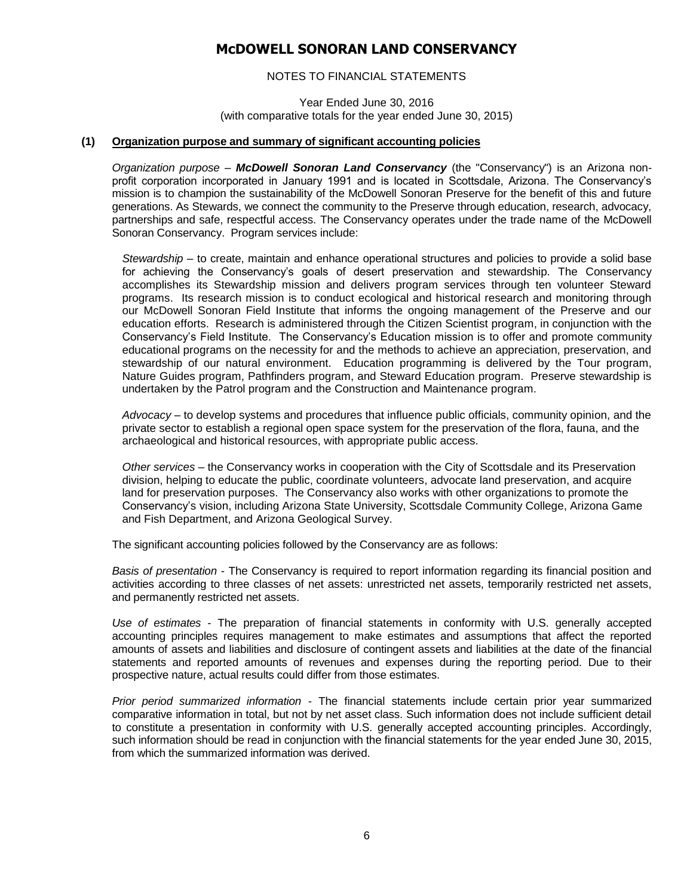### NOTES TO FINANCIAL STATEMENTS

Year Ended June 30, 2016 (with comparative totals for the year ended June 30, 2015)

#### **(1) Organization purpose and summary of significant accounting policies**

*Organization purpose* – *McDowell Sonoran Land Conservancy* (the "Conservancy") is an Arizona nonprofit corporation incorporated in January 1991 and is located in Scottsdale, Arizona. The Conservancy's mission is to champion the sustainability of the McDowell Sonoran Preserve for the benefit of this and future generations. As Stewards, we connect the community to the Preserve through education, research, advocacy, partnerships and safe, respectful access. The Conservancy operates under the trade name of the McDowell Sonoran Conservancy. Program services include:

*Stewardship –* to create, maintain and enhance operational structures and policies to provide a solid base for achieving the Conservancy's goals of desert preservation and stewardship. The Conservancy accomplishes its Stewardship mission and delivers program services through ten volunteer Steward programs. Its research mission is to conduct ecological and historical research and monitoring through our McDowell Sonoran Field Institute that informs the ongoing management of the Preserve and our education efforts. Research is administered through the Citizen Scientist program, in conjunction with the Conservancy's Field Institute. The Conservancy's Education mission is to offer and promote community educational programs on the necessity for and the methods to achieve an appreciation, preservation, and stewardship of our natural environment. Education programming is delivered by the Tour program, Nature Guides program, Pathfinders program, and Steward Education program. Preserve stewardship is undertaken by the Patrol program and the Construction and Maintenance program.

*Advocacy* – to develop systems and procedures that influence public officials, community opinion, and the private sector to establish a regional open space system for the preservation of the flora, fauna, and the archaeological and historical resources, with appropriate public access.

*Other services* – the Conservancy works in cooperation with the City of Scottsdale and its Preservation division, helping to educate the public, coordinate volunteers, advocate land preservation, and acquire land for preservation purposes. The Conservancy also works with other organizations to promote the Conservancy's vision, including Arizona State University, Scottsdale Community College, Arizona Game and Fish Department, and Arizona Geological Survey.

The significant accounting policies followed by the Conservancy are as follows:

*Basis of presentation* - The Conservancy is required to report information regarding its financial position and activities according to three classes of net assets: unrestricted net assets, temporarily restricted net assets, and permanently restricted net assets.

*Use of estimates* - The preparation of financial statements in conformity with U.S. generally accepted accounting principles requires management to make estimates and assumptions that affect the reported amounts of assets and liabilities and disclosure of contingent assets and liabilities at the date of the financial statements and reported amounts of revenues and expenses during the reporting period. Due to their prospective nature, actual results could differ from those estimates.

*Prior period summarized information* - The financial statements include certain prior year summarized comparative information in total, but not by net asset class. Such information does not include sufficient detail to constitute a presentation in conformity with U.S. generally accepted accounting principles. Accordingly, such information should be read in conjunction with the financial statements for the year ended June 30, 2015, from which the summarized information was derived.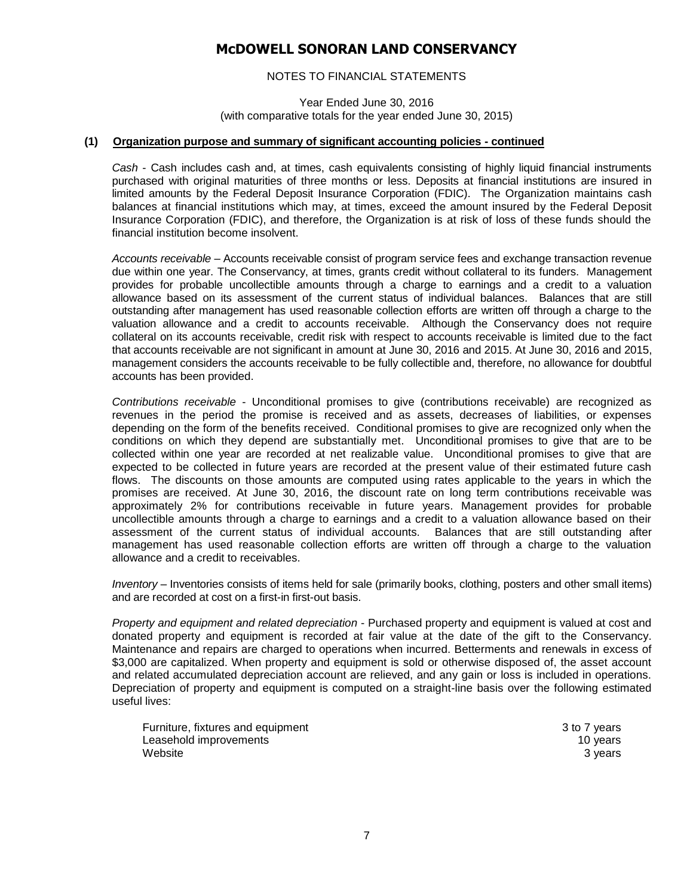### NOTES TO FINANCIAL STATEMENTS

Year Ended June 30, 2016 (with comparative totals for the year ended June 30, 2015)

#### **(1) Organization purpose and summary of significant accounting policies - continued**

*Cash* - Cash includes cash and, at times, cash equivalents consisting of highly liquid financial instruments purchased with original maturities of three months or less. Deposits at financial institutions are insured in limited amounts by the Federal Deposit Insurance Corporation (FDIC). The Organization maintains cash balances at financial institutions which may, at times, exceed the amount insured by the Federal Deposit Insurance Corporation (FDIC), and therefore, the Organization is at risk of loss of these funds should the financial institution become insolvent.

*Accounts receivable* – Accounts receivable consist of program service fees and exchange transaction revenue due within one year. The Conservancy, at times, grants credit without collateral to its funders. Management provides for probable uncollectible amounts through a charge to earnings and a credit to a valuation allowance based on its assessment of the current status of individual balances. Balances that are still outstanding after management has used reasonable collection efforts are written off through a charge to the valuation allowance and a credit to accounts receivable. Although the Conservancy does not require collateral on its accounts receivable, credit risk with respect to accounts receivable is limited due to the fact that accounts receivable are not significant in amount at June 30, 2016 and 2015. At June 30, 2016 and 2015, management considers the accounts receivable to be fully collectible and, therefore, no allowance for doubtful accounts has been provided.

*Contributions receivable* - Unconditional promises to give (contributions receivable) are recognized as revenues in the period the promise is received and as assets, decreases of liabilities, or expenses depending on the form of the benefits received. Conditional promises to give are recognized only when the conditions on which they depend are substantially met. Unconditional promises to give that are to be collected within one year are recorded at net realizable value. Unconditional promises to give that are expected to be collected in future years are recorded at the present value of their estimated future cash flows. The discounts on those amounts are computed using rates applicable to the years in which the promises are received. At June 30, 2016, the discount rate on long term contributions receivable was approximately 2% for contributions receivable in future years. Management provides for probable uncollectible amounts through a charge to earnings and a credit to a valuation allowance based on their assessment of the current status of individual accounts. Balances that are still outstanding after management has used reasonable collection efforts are written off through a charge to the valuation allowance and a credit to receivables.

*Inventory* – Inventories consists of items held for sale (primarily books, clothing, posters and other small items) and are recorded at cost on a first-in first-out basis.

*Property and equipment and related depreciation* - Purchased property and equipment is valued at cost and donated property and equipment is recorded at fair value at the date of the gift to the Conservancy. Maintenance and repairs are charged to operations when incurred. Betterments and renewals in excess of \$3,000 are capitalized. When property and equipment is sold or otherwise disposed of, the asset account and related accumulated depreciation account are relieved, and any gain or loss is included in operations. Depreciation of property and equipment is computed on a straight-line basis over the following estimated useful lives:

Furniture, fixtures and equipment 3 to 7 years Leasehold improvements **10** years 10 years 10 years 10 years 10 years 10 years 10 years 10 years 10 years 10 years 10 years 10 years 10 years 10 years 10 years 10 years 10 years 10 years 10 years 10 years 10 years 10 years website 3 years 3 years 3 years 3 years 3 years 3 years 3 years 3 years 3 years 3 years 3 years 3 years 3 years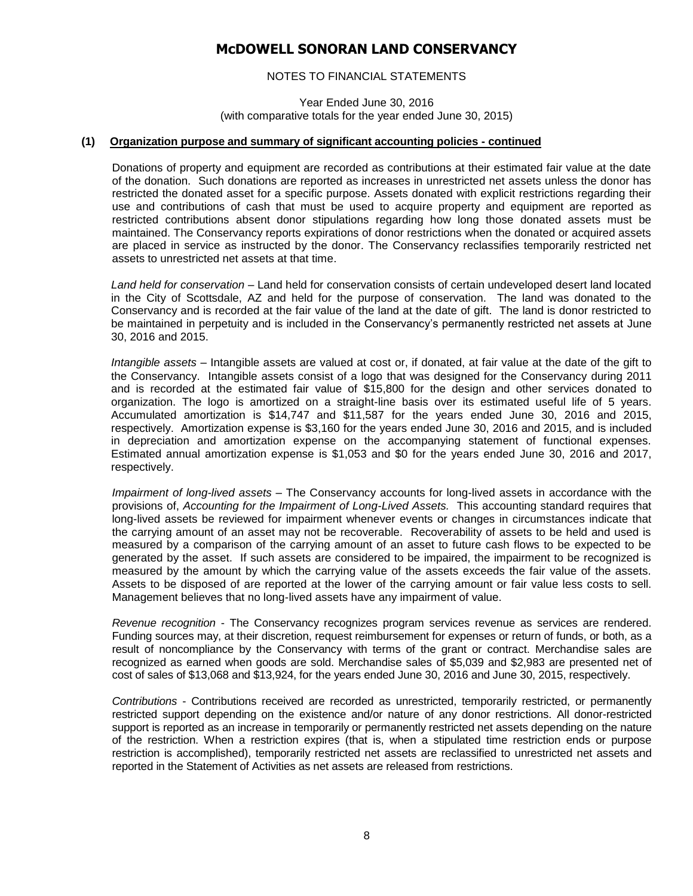### NOTES TO FINANCIAL STATEMENTS

Year Ended June 30, 2016 (with comparative totals for the year ended June 30, 2015)

#### **(1) Organization purpose and summary of significant accounting policies - continued**

Donations of property and equipment are recorded as contributions at their estimated fair value at the date of the donation. Such donations are reported as increases in unrestricted net assets unless the donor has restricted the donated asset for a specific purpose. Assets donated with explicit restrictions regarding their use and contributions of cash that must be used to acquire property and equipment are reported as restricted contributions absent donor stipulations regarding how long those donated assets must be maintained. The Conservancy reports expirations of donor restrictions when the donated or acquired assets are placed in service as instructed by the donor. The Conservancy reclassifies temporarily restricted net assets to unrestricted net assets at that time.

*Land held for conservation* – Land held for conservation consists of certain undeveloped desert land located in the City of Scottsdale, AZ and held for the purpose of conservation. The land was donated to the Conservancy and is recorded at the fair value of the land at the date of gift. The land is donor restricted to be maintained in perpetuity and is included in the Conservancy's permanently restricted net assets at June 30, 2016 and 2015.

*Intangible assets* – Intangible assets are valued at cost or, if donated, at fair value at the date of the gift to the Conservancy. Intangible assets consist of a logo that was designed for the Conservancy during 2011 and is recorded at the estimated fair value of \$15,800 for the design and other services donated to organization. The logo is amortized on a straight-line basis over its estimated useful life of 5 years. Accumulated amortization is \$14,747 and \$11,587 for the years ended June 30, 2016 and 2015, respectively. Amortization expense is \$3,160 for the years ended June 30, 2016 and 2015, and is included in depreciation and amortization expense on the accompanying statement of functional expenses. Estimated annual amortization expense is \$1,053 and \$0 for the years ended June 30, 2016 and 2017, respectively.

*Impairment of long-lived assets* – The Conservancy accounts for long-lived assets in accordance with the provisions of, *Accounting for the Impairment of Long-Lived Assets.* This accounting standard requires that long-lived assets be reviewed for impairment whenever events or changes in circumstances indicate that the carrying amount of an asset may not be recoverable. Recoverability of assets to be held and used is measured by a comparison of the carrying amount of an asset to future cash flows to be expected to be generated by the asset. If such assets are considered to be impaired, the impairment to be recognized is measured by the amount by which the carrying value of the assets exceeds the fair value of the assets. Assets to be disposed of are reported at the lower of the carrying amount or fair value less costs to sell. Management believes that no long-lived assets have any impairment of value.

*Revenue recognition* - The Conservancy recognizes program services revenue as services are rendered. Funding sources may, at their discretion, request reimbursement for expenses or return of funds, or both, as a result of noncompliance by the Conservancy with terms of the grant or contract. Merchandise sales are recognized as earned when goods are sold. Merchandise sales of \$5,039 and \$2,983 are presented net of cost of sales of \$13,068 and \$13,924, for the years ended June 30, 2016 and June 30, 2015, respectively.

*Contributions* - Contributions received are recorded as unrestricted, temporarily restricted, or permanently restricted support depending on the existence and/or nature of any donor restrictions. All donor-restricted support is reported as an increase in temporarily or permanently restricted net assets depending on the nature of the restriction. When a restriction expires (that is, when a stipulated time restriction ends or purpose restriction is accomplished), temporarily restricted net assets are reclassified to unrestricted net assets and reported in the Statement of Activities as net assets are released from restrictions.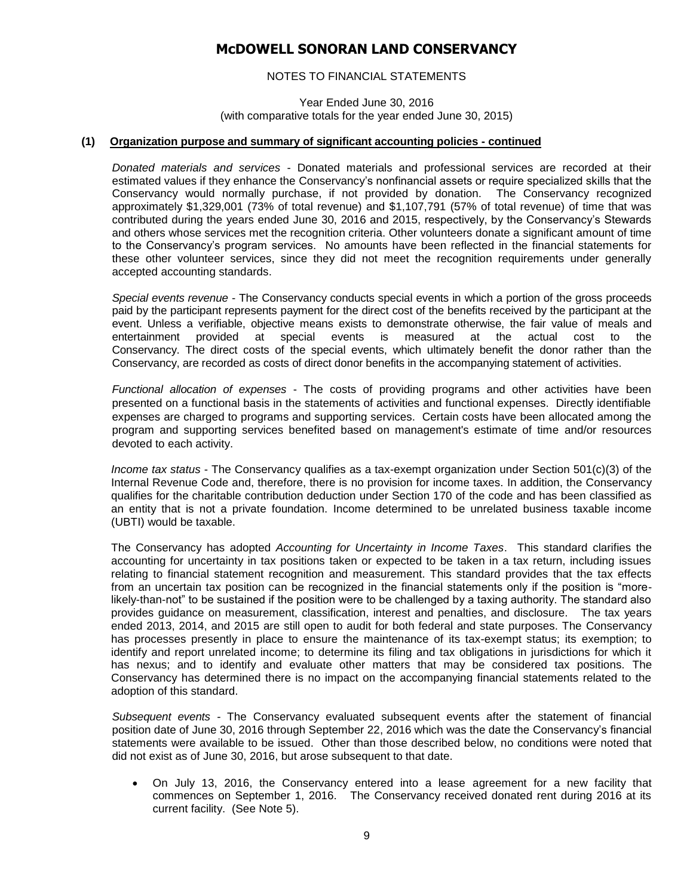### NOTES TO FINANCIAL STATEMENTS

Year Ended June 30, 2016 (with comparative totals for the year ended June 30, 2015)

#### **(1) Organization purpose and summary of significant accounting policies - continued**

*Donated materials and services* - Donated materials and professional services are recorded at their estimated values if they enhance the Conservancy's nonfinancial assets or require specialized skills that the Conservancy would normally purchase, if not provided by donation. The Conservancy recognized approximately \$1,329,001 (73% of total revenue) and \$1,107,791 (57% of total revenue) of time that was contributed during the years ended June 30, 2016 and 2015, respectively, by the Conservancy's Stewards and others whose services met the recognition criteria. Other volunteers donate a significant amount of time to the Conservancy's program services. No amounts have been reflected in the financial statements for these other volunteer services, since they did not meet the recognition requirements under generally accepted accounting standards.

*Special events revenue* - The Conservancy conducts special events in which a portion of the gross proceeds paid by the participant represents payment for the direct cost of the benefits received by the participant at the event. Unless a verifiable, objective means exists to demonstrate otherwise, the fair value of meals and entertainment provided at special events is measured at the actual cost to the Conservancy. The direct costs of the special events, which ultimately benefit the donor rather than the Conservancy, are recorded as costs of direct donor benefits in the accompanying statement of activities.

*Functional allocation of expenses* - The costs of providing programs and other activities have been presented on a functional basis in the statements of activities and functional expenses. Directly identifiable expenses are charged to programs and supporting services. Certain costs have been allocated among the program and supporting services benefited based on management's estimate of time and/or resources devoted to each activity.

*Income tax status* - The Conservancy qualifies as a tax-exempt organization under Section 501(c)(3) of the Internal Revenue Code and, therefore, there is no provision for income taxes. In addition, the Conservancy qualifies for the charitable contribution deduction under Section 170 of the code and has been classified as an entity that is not a private foundation. Income determined to be unrelated business taxable income (UBTI) would be taxable.

The Conservancy has adopted *Accounting for Uncertainty in Income Taxes*. This standard clarifies the accounting for uncertainty in tax positions taken or expected to be taken in a tax return, including issues relating to financial statement recognition and measurement. This standard provides that the tax effects from an uncertain tax position can be recognized in the financial statements only if the position is "morelikely-than-not" to be sustained if the position were to be challenged by a taxing authority. The standard also provides guidance on measurement, classification, interest and penalties, and disclosure. The tax years ended 2013, 2014, and 2015 are still open to audit for both federal and state purposes. The Conservancy has processes presently in place to ensure the maintenance of its tax-exempt status; its exemption; to identify and report unrelated income; to determine its filing and tax obligations in jurisdictions for which it has nexus; and to identify and evaluate other matters that may be considered tax positions. The Conservancy has determined there is no impact on the accompanying financial statements related to the adoption of this standard.

*Subsequent events -* The Conservancy evaluated subsequent events after the statement of financial position date of June 30, 2016 through September 22, 2016 which was the date the Conservancy's financial statements were available to be issued. Other than those described below, no conditions were noted that did not exist as of June 30, 2016, but arose subsequent to that date.

 On July 13, 2016, the Conservancy entered into a lease agreement for a new facility that commences on September 1, 2016. The Conservancy received donated rent during 2016 at its current facility. (See Note 5).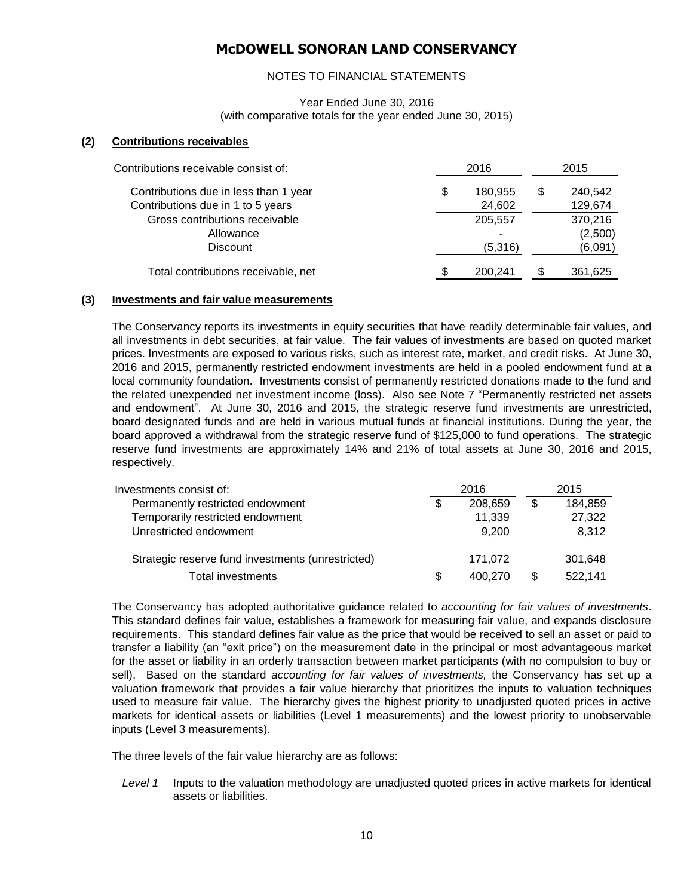### NOTES TO FINANCIAL STATEMENTS

Year Ended June 30, 2016 (with comparative totals for the year ended June 30, 2015)

#### **(2) Contributions receivables**

| Contributions receivable consist of:  | 2016          |   | 2015    |
|---------------------------------------|---------------|---|---------|
| Contributions due in less than 1 year | \$<br>180,955 | S | 240,542 |
| Contributions due in 1 to 5 years     | 24,602        |   | 129,674 |
| Gross contributions receivable        | 205,557       |   | 370,216 |
| Allowance                             |               |   | (2,500) |
| <b>Discount</b>                       | (5,316)       |   | (6,091) |
| Total contributions receivable, net   | 200.241       |   | 361,625 |

#### **(3) Investments and fair value measurements**

The Conservancy reports its investments in equity securities that have readily determinable fair values, and all investments in debt securities, at fair value. The fair values of investments are based on quoted market prices. Investments are exposed to various risks, such as interest rate, market, and credit risks. At June 30, 2016 and 2015, permanently restricted endowment investments are held in a pooled endowment fund at a local community foundation. Investments consist of permanently restricted donations made to the fund and the related unexpended net investment income (loss). Also see Note 7 "Permanently restricted net assets and endowment". At June 30, 2016 and 2015, the strategic reserve fund investments are unrestricted, board designated funds and are held in various mutual funds at financial institutions. During the year, the board approved a withdrawal from the strategic reserve fund of \$125,000 to fund operations. The strategic reserve fund investments are approximately 14% and 21% of total assets at June 30, 2016 and 2015, respectively.

| Investments consist of:                           | 2016 |         |   | 2015    |
|---------------------------------------------------|------|---------|---|---------|
| Permanently restricted endowment                  | S    | 208,659 | S | 184,859 |
| Temporarily restricted endowment                  |      | 11,339  |   | 27,322  |
| Unrestricted endowment                            |      | 9.200   |   | 8,312   |
| Strategic reserve fund investments (unrestricted) |      | 171,072 |   | 301,648 |
| Total investments                                 |      | 400.270 |   | 522.141 |

The Conservancy has adopted authoritative guidance related to *accounting for fair values of investments*. This standard defines fair value, establishes a framework for measuring fair value, and expands disclosure requirements. This standard defines fair value as the price that would be received to sell an asset or paid to transfer a liability (an "exit price") on the measurement date in the principal or most advantageous market for the asset or liability in an orderly transaction between market participants (with no compulsion to buy or sell). Based on the standard *accounting for fair values of investments,* the Conservancy has set up a valuation framework that provides a fair value hierarchy that prioritizes the inputs to valuation techniques used to measure fair value. The hierarchy gives the highest priority to unadjusted quoted prices in active markets for identical assets or liabilities (Level 1 measurements) and the lowest priority to unobservable inputs (Level 3 measurements).

The three levels of the fair value hierarchy are as follows:

*Level 1* Inputs to the valuation methodology are unadjusted quoted prices in active markets for identical assets or liabilities.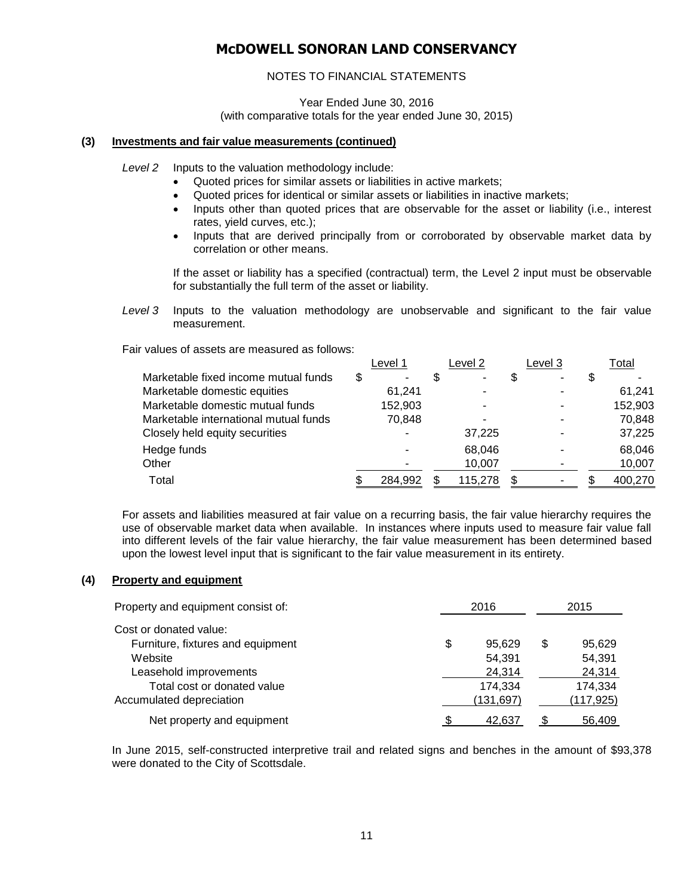### NOTES TO FINANCIAL STATEMENTS

Year Ended June 30, 2016 (with comparative totals for the year ended June 30, 2015)

### **(3) Investments and fair value measurements (continued)**

*Level 2* Inputs to the valuation methodology include:

- Quoted prices for similar assets or liabilities in active markets;
- Quoted prices for identical or similar assets or liabilities in inactive markets;
- Inputs other than quoted prices that are observable for the asset or liability (i.e., interest rates, yield curves, etc.);
- Inputs that are derived principally from or corroborated by observable market data by correlation or other means.

If the asset or liability has a specified (contractual) term, the Level 2 input must be observable for substantially the full term of the asset or liability.

*Level 3* Inputs to the valuation methodology are unobservable and significant to the fair value measurement.

Fair values of assets are measured as follows:

|                                       | Level 1 | Level 2 |    | Level 3 | Total   |
|---------------------------------------|---------|---------|----|---------|---------|
| Marketable fixed income mutual funds  | \$      |         | S  |         |         |
| Marketable domestic equities          | 61,241  |         |    |         | 61,241  |
| Marketable domestic mutual funds      | 152,903 |         |    |         | 152,903 |
| Marketable international mutual funds | 70,848  |         |    |         | 70,848  |
| Closely held equity securities        |         | 37,225  |    |         | 37,225  |
| Hedge funds                           |         | 68.046  |    |         | 68,046  |
| Other                                 |         | 10,007  |    |         | 10,007  |
| Total                                 | 284,992 | 115,278 | S. |         | 400,270 |

For assets and liabilities measured at fair value on a recurring basis, the fair value hierarchy requires the use of observable market data when available. In instances where inputs used to measure fair value fall into different levels of the fair value hierarchy, the fair value measurement has been determined based upon the lowest level input that is significant to the fair value measurement in its entirety.

### **(4) Property and equipment**

| Property and equipment consist of: | 2016         |     |            |
|------------------------------------|--------------|-----|------------|
| Cost or donated value:             |              |     |            |
| Furniture, fixtures and equipment  | \$<br>95.629 | \$. | 95.629     |
| Website                            | 54,391       |     | 54,391     |
| Leasehold improvements             | 24,314       |     | 24,314     |
| Total cost or donated value        | 174,334      |     | 174,334    |
| Accumulated depreciation           | (131,697)    |     | (117, 925) |
| Net property and equipment         | 42.637       |     | 56.409     |

In June 2015, self-constructed interpretive trail and related signs and benches in the amount of \$93,378 were donated to the City of Scottsdale.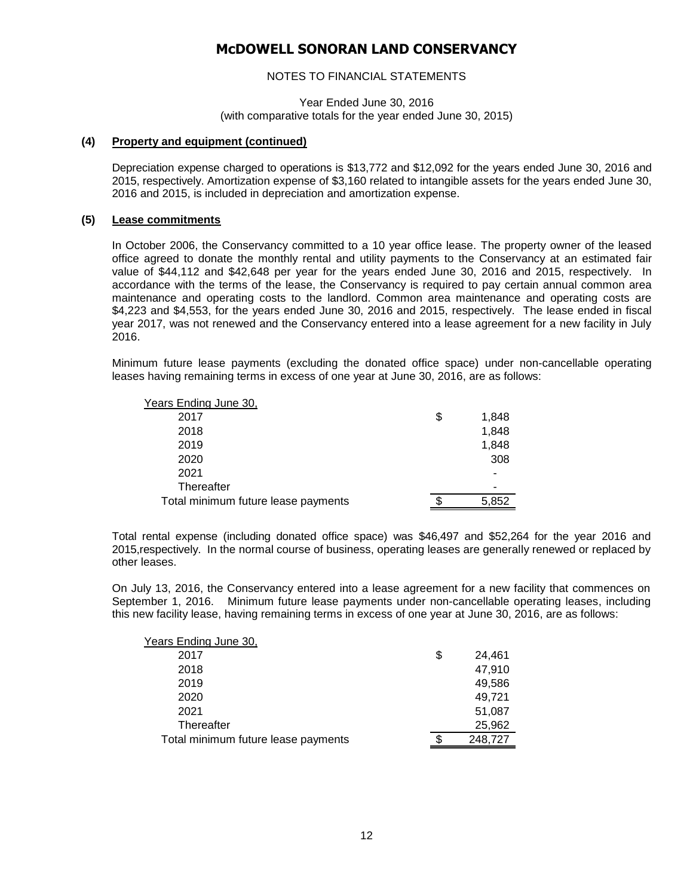### NOTES TO FINANCIAL STATEMENTS

Year Ended June 30, 2016 (with comparative totals for the year ended June 30, 2015)

#### **(4) Property and equipment (continued)**

Depreciation expense charged to operations is \$13,772 and \$12,092 for the years ended June 30, 2016 and 2015, respectively. Amortization expense of \$3,160 related to intangible assets for the years ended June 30, 2016 and 2015, is included in depreciation and amortization expense.

#### **(5) Lease commitments**

In October 2006, the Conservancy committed to a 10 year office lease. The property owner of the leased office agreed to donate the monthly rental and utility payments to the Conservancy at an estimated fair value of \$44,112 and \$42,648 per year for the years ended June 30, 2016 and 2015, respectively. In accordance with the terms of the lease, the Conservancy is required to pay certain annual common area maintenance and operating costs to the landlord. Common area maintenance and operating costs are \$4,223 and \$4,553, for the years ended June 30, 2016 and 2015, respectively. The lease ended in fiscal year 2017, was not renewed and the Conservancy entered into a lease agreement for a new facility in July 2016.

Minimum future lease payments (excluding the donated office space) under non-cancellable operating leases having remaining terms in excess of one year at June 30, 2016, are as follows:

| Years Ending June 30,               |             |
|-------------------------------------|-------------|
| 2017                                | \$<br>1,848 |
| 2018                                | 1,848       |
| 2019                                | 1,848       |
| 2020                                | 308         |
| 2021                                | ۰           |
| Thereafter                          |             |
| Total minimum future lease payments | 5,852       |

Total rental expense (including donated office space) was \$46,497 and \$52,264 for the year 2016 and 2015,respectively. In the normal course of business, operating leases are generally renewed or replaced by other leases.

On July 13, 2016, the Conservancy entered into a lease agreement for a new facility that commences on September 1, 2016. Minimum future lease payments under non-cancellable operating leases, including this new facility lease, having remaining terms in excess of one year at June 30, 2016, are as follows:

| Years Ending June 30,               |              |
|-------------------------------------|--------------|
| 2017                                | \$<br>24,461 |
| 2018                                | 47,910       |
| 2019                                | 49,586       |
| 2020                                | 49,721       |
| 2021                                | 51,087       |
| Thereafter                          | 25,962       |
| Total minimum future lease payments | 248,727      |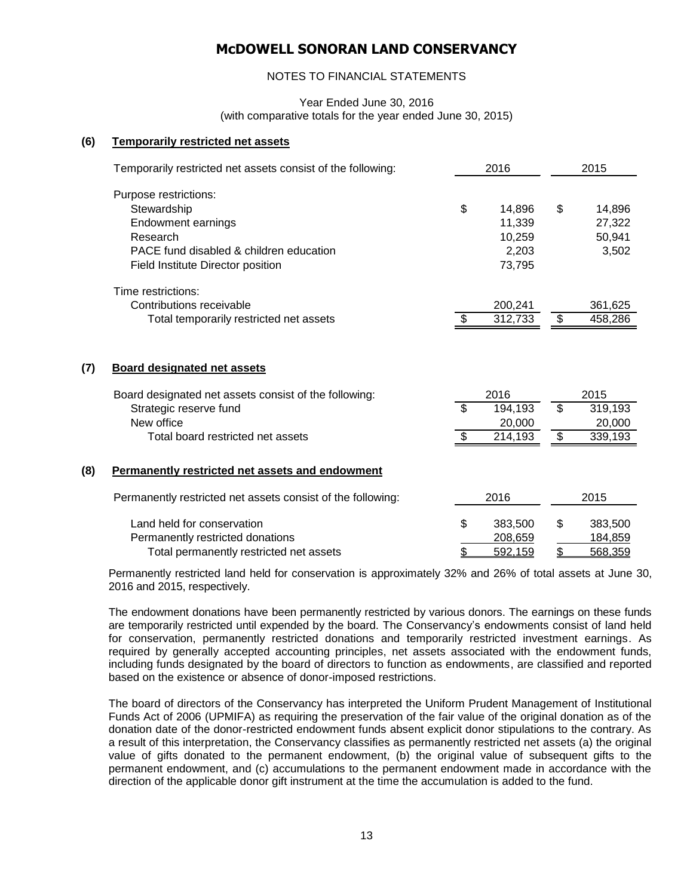### NOTES TO FINANCIAL STATEMENTS

Year Ended June 30, 2016 (with comparative totals for the year ended June 30, 2015)

#### **(6) Temporarily restricted net assets**

|     | Temporarily restricted net assets consist of the following: |     | 2016    |    | 2015    |  |  |
|-----|-------------------------------------------------------------|-----|---------|----|---------|--|--|
|     | Purpose restrictions:<br>Stewardship                        | \$  | 14,896  | \$ | 14,896  |  |  |
|     | Endowment earnings                                          |     | 11,339  |    | 27,322  |  |  |
|     | Research                                                    |     | 10,259  |    | 50,941  |  |  |
|     | PACE fund disabled & children education                     |     | 2,203   |    | 3,502   |  |  |
|     | Field Institute Director position                           |     | 73,795  |    |         |  |  |
|     | Time restrictions:                                          |     |         |    |         |  |  |
|     | Contributions receivable                                    |     | 200,241 |    | 361,625 |  |  |
|     | Total temporarily restricted net assets                     | \$. | 312,733 | \$ | 458,286 |  |  |
| (7) | <b>Board designated net assets</b>                          |     |         |    |         |  |  |
|     | Board designated net assets consist of the following:       |     | 2016    |    | 2015    |  |  |
|     | Strategic reserve fund                                      | \$  | 194,193 | \$ | 319,193 |  |  |
|     | New office                                                  |     | 20,000  |    | 20,000  |  |  |
|     | Total board restricted net assets                           | \$  | 214,193 | \$ | 339,193 |  |  |
| (8) | Permanently restricted net assets and endowment             |     |         |    |         |  |  |
|     | Permanently restricted net assets consist of the following: |     | 2016    |    | 2015    |  |  |
|     | Land held for conservation                                  | \$  | 383,500 | \$ | 383,500 |  |  |
|     | Permanently restricted donations                            |     | 208,659 |    | 184,859 |  |  |
|     | Total permanently restricted net assets                     | \$. | 592.159 | \$ | 568.359 |  |  |

Permanently restricted land held for conservation is approximately 32% and 26% of total assets at June 30, 2016 and 2015, respectively.

The endowment donations have been permanently restricted by various donors. The earnings on these funds are temporarily restricted until expended by the board. The Conservancy's endowments consist of land held for conservation, permanently restricted donations and temporarily restricted investment earnings. As required by generally accepted accounting principles, net assets associated with the endowment funds, including funds designated by the board of directors to function as endowments, are classified and reported based on the existence or absence of donor-imposed restrictions.

The board of directors of the Conservancy has interpreted the Uniform Prudent Management of Institutional Funds Act of 2006 (UPMIFA) as requiring the preservation of the fair value of the original donation as of the donation date of the donor-restricted endowment funds absent explicit donor stipulations to the contrary. As a result of this interpretation, the Conservancy classifies as permanently restricted net assets (a) the original value of gifts donated to the permanent endowment, (b) the original value of subsequent gifts to the permanent endowment, and (c) accumulations to the permanent endowment made in accordance with the direction of the applicable donor gift instrument at the time the accumulation is added to the fund.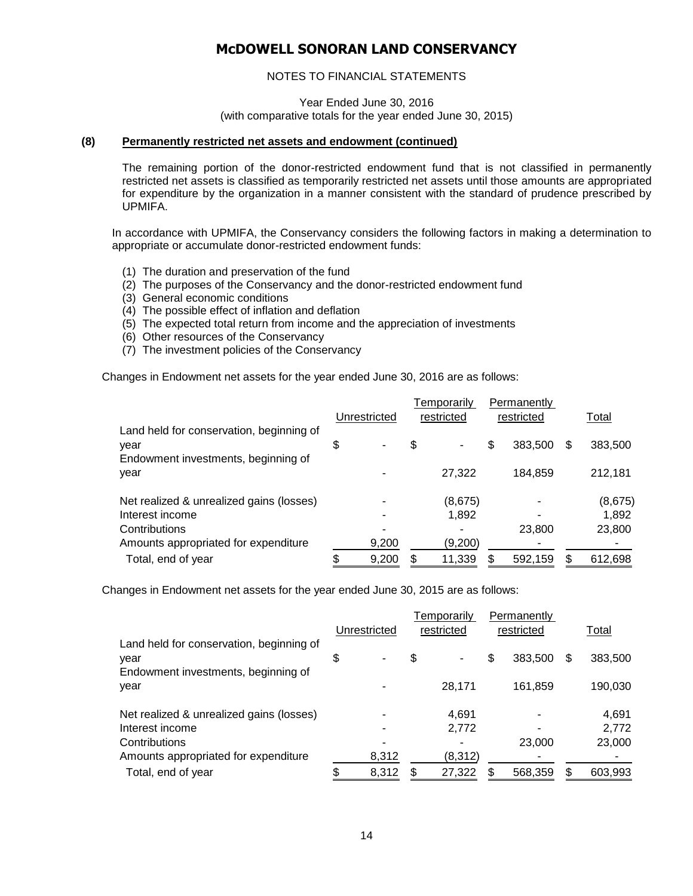### NOTES TO FINANCIAL STATEMENTS

Year Ended June 30, 2016 (with comparative totals for the year ended June 30, 2015)

#### **(8) Permanently restricted net assets and endowment (continued)**

The remaining portion of the donor-restricted endowment fund that is not classified in permanently restricted net assets is classified as temporarily restricted net assets until those amounts are appropriated for expenditure by the organization in a manner consistent with the standard of prudence prescribed by UPMIFA.

In accordance with UPMIFA, the Conservancy considers the following factors in making a determination to appropriate or accumulate donor-restricted endowment funds:

- (1) The duration and preservation of the fund
- (2) The purposes of the Conservancy and the donor-restricted endowment fund
- (3) General economic conditions
- (4) The possible effect of inflation and deflation
- (5) The expected total return from income and the appreciation of investments
- (6) Other resources of the Conservancy
- (7) The investment policies of the Conservancy

Changes in Endowment net assets for the year ended June 30, 2016 are as follows:

|                                                                                         | Unrestricted |       | Temporarily<br>restricted |         | Permanently<br>restricted |         |   |         |
|-----------------------------------------------------------------------------------------|--------------|-------|---------------------------|---------|---------------------------|---------|---|---------|
|                                                                                         |              |       |                           |         |                           |         |   | Total   |
| Land held for conservation, beginning of<br>vear<br>Endowment investments, beginning of | \$           | ۰     | \$                        | ۰       | \$                        | 383,500 | S | 383,500 |
| year                                                                                    |              |       |                           | 27.322  |                           | 184,859 |   | 212,181 |
| Net realized & unrealized gains (losses)                                                |              |       |                           | (8,675) |                           |         |   | (8,675) |
| Interest income                                                                         |              |       |                           | 1,892   |                           |         |   | 1,892   |
| Contributions                                                                           |              |       |                           |         |                           | 23,800  |   | 23,800  |
| Amounts appropriated for expenditure                                                    |              | 9,200 |                           | (9,200) |                           |         |   |         |
| Total, end of year                                                                      |              | 9,200 |                           | 11,339  |                           | 592,159 |   | 612,698 |

Changes in Endowment net assets for the year ended June 30, 2015 are as follows:

|                                                  |              |       | Temporarily |         | Permanently |         |     |         |
|--------------------------------------------------|--------------|-------|-------------|---------|-------------|---------|-----|---------|
|                                                  | Unrestricted |       | restricted  |         | restricted  |         |     | Total   |
| Land held for conservation, beginning of<br>vear |              |       | \$          |         | \$          | 383,500 | \$. | 383,500 |
| Endowment investments, beginning of<br>year      |              |       |             | 28,171  |             | 161,859 |     | 190,030 |
| Net realized & unrealized gains (losses)         |              |       |             | 4,691   |             |         |     | 4,691   |
| Interest income                                  |              |       |             | 2,772   |             |         |     | 2,772   |
| Contributions                                    |              |       |             |         |             | 23,000  |     | 23,000  |
| Amounts appropriated for expenditure             |              | 8,312 |             | (8,312) |             |         |     | ۰       |
| Total, end of year                               |              | 8,312 |             | 27,322  | \$          | 568,359 |     | 603,993 |